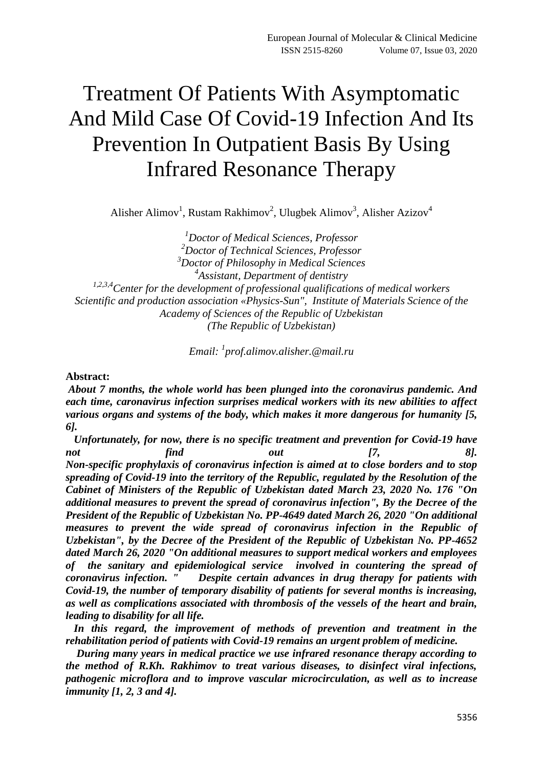# Treatment Of Patients With Asymptomatic And Mild Case Of Covid-19 Infection And Its Prevention In Outpatient Basis By Using Infrared Resonance Therapy

Alisher Alimov<sup>1</sup>, Rustam Rakhimov<sup>2</sup>, Ulugbek Alimov<sup>3</sup>, Alisher Azizov<sup>4</sup>

*<sup>1</sup>Doctor of Medical Sciences, Professor <sup>2</sup>Doctor of Technical Sciences, Professor <sup>3</sup>Doctor of Philosophy in Medical Sciences 4 Assistant, Department of dentistry 1,2,3,4Center for the development of professional qualifications of medical workers Scientific and production association «Physics-Sun", Institute of Materials Science of the Academy of Sciences of the Republic of Uzbekistan (The Republic of Uzbekistan)*

*Email: <sup>1</sup> prof.alimov[.alisher.@mail.ru](mailto:alisher.@mail.ru)*

#### **Abstract:**

*About 7 months, the whole world has been plunged into the coronavirus pandemic. And each time, caronavirus infection surprises medical workers with its new abilities to affect various organs and systems of the body, which makes it more dangerous for humanity [5, 6].* 

*Unfortunately, for now, there is no specific treatment and prevention for Covid-19 have not find out [7, 8]. Non-specific prophylaxis of coronavirus infection is aimed at to close borders and to stop spreading of Covid-19 into the territory of the Republic, regulated by the Resolution of the Cabinet of Ministers of the Republic of Uzbekistan dated March 23, 2020 No. 176 "On additional measures to prevent the spread of coronavirus infection", By the Decree of the President of the Republic of Uzbekistan No. PP-4649 dated March 26, 2020 "On additional measures to prevent the wide spread of coronavirus infection in the Republic of Uzbekistan", by the Decree of the President of the Republic of Uzbekistan No. PP-4652 dated March 26, 2020 "On additional measures to support medical workers and employees of the sanitary and epidemiological service involved in countering the spread of coronavirus infection. " Despite certain advances in drug therapy for patients with Covid-19, the number of temporary disability of patients for several months is increasing, as well as complications associated with thrombosis of the vessels of the heart and brain, leading to disability for all life.* 

 *In this regard, the improvement of methods of prevention and treatment in the rehabilitation period of patients with Covid-19 remains an urgent problem of medicine.* 

 *During many years in medical practice we use infrared resonance therapy according to the method of R.Kh. Rakhimov to treat various diseases, to disinfect viral infections, pathogenic microflora and to improve vascular microcirculation, as well as to increase immunity [1, 2, 3 and 4].*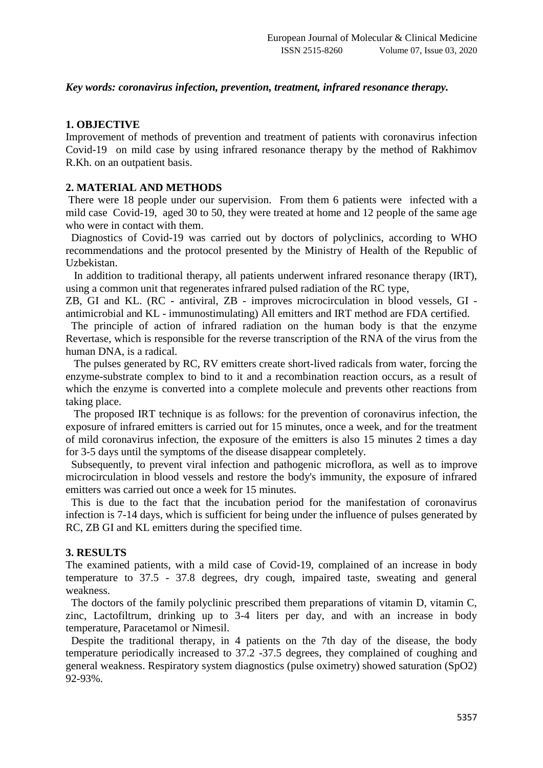#### *Key words: coronavirus infection, prevention, treatment, infrared resonance therapy.*

### **1. OBJECTIVE**

Improvement of methods of prevention and treatment of patients with coronavirus infection Covid-19 on mild case by using infrared resonance therapy by the method of Rakhimov R.Kh. on an outpatient basis.

## **2. MATERIAL AND METHODS**

There were 18 people under our supervision. From them 6 patients were infected with a mild case Covid-19, aged 30 to 50, they were treated at home and 12 people of the same age who were in contact with them.

Diagnostics of Covid-19 was carried out by doctors of polyclinics, according to WHO recommendations and the protocol presented by the Ministry of Health of the Republic of Uzbekistan.

 In addition to traditional therapy, all patients underwent infrared resonance therapy (IRT), using a common unit that regenerates infrared pulsed radiation of the RC type,

ZB, GI and KL. (RC - antiviral, ZB - improves microcirculation in blood vessels, GI antimicrobial and KL - immunostimulating) All emitters and IRT method are FDA certified.

 The principle of action of infrared radiation on the human body is that the enzyme Revertase, which is responsible for the reverse transcription of the RNA of the virus from the human DNA, is a radical.

 The pulses generated by RC, RV emitters create short-lived radicals from water, forcing the enzyme-substrate complex to bind to it and a recombination reaction occurs, as a result of which the enzyme is converted into a complete molecule and prevents other reactions from taking place.

 The proposed IRT technique is as follows: for the prevention of coronavirus infection, the exposure of infrared emitters is carried out for 15 minutes, once a week, and for the treatment of mild coronavirus infection, the exposure of the emitters is also 15 minutes 2 times a day for 3-5 days until the symptoms of the disease disappear completely.

Subsequently, to prevent viral infection and pathogenic microflora, as well as to improve microcirculation in blood vessels and restore the body's immunity, the exposure of infrared emitters was carried out once a week for 15 minutes.

This is due to the fact that the incubation period for the manifestation of coronavirus infection is 7-14 days, which is sufficient for being under the influence of pulses generated by RC, ZB GI and KL emitters during the specified time.

#### **3. RESULTS**

The examined patients, with a mild case of Covid-19, complained of an increase in body temperature to 37.5 - 37.8 degrees, dry cough, impaired taste, sweating and general weakness.

 The doctors of the family polyclinic prescribed them preparations of vitamin D, vitamin C, zinc, Lactofiltrum, drinking up to 3-4 liters per day, and with an increase in body temperature, Paracetamol or Nimesil.

Despite the traditional therapy, in 4 patients on the 7th day of the disease, the body temperature periodically increased to 37.2 -37.5 degrees, they complained of coughing and general weakness. Respiratory system diagnostics (pulse oximetry) showed saturation (SpO2) 92-93%.